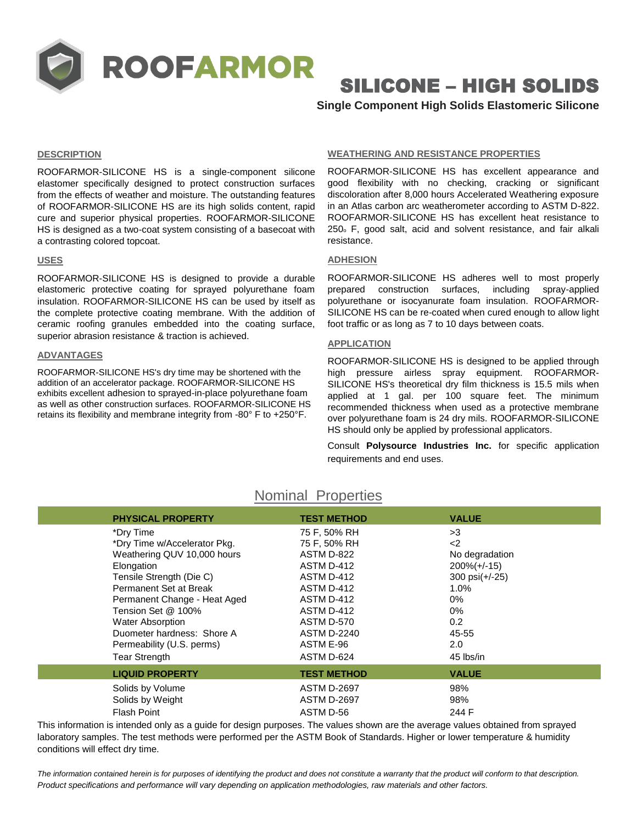

# SILICONE – HIGH SOLIDS

# **Single Component High Solids Elastomeric Silicone**

# **DESCRIPTION**

ROOFARMOR-SILICONE HS is a single-component silicone elastomer specifically designed to protect construction surfaces from the effects of weather and moisture. The outstanding features of ROOFARMOR-SILICONE HS are its high solids content, rapid cure and superior physical properties. ROOFARMOR-SILICONE HS is designed as a two-coat system consisting of a basecoat with a contrasting colored topcoat.

# **USES**

ROOFARMOR-SILICONE HS is designed to provide a durable elastomeric protective coating for sprayed polyurethane foam insulation. ROOFARMOR-SILICONE HS can be used by itself as the complete protective coating membrane. With the addition of ceramic roofing granules embedded into the coating surface, superior abrasion resistance & traction is achieved.

# **ADVANTAGES**

ROOFARMOR-SILICONE HS's dry time may be shortened with the addition of an accelerator package. ROOFARMOR-SILICONE HS exhibits excellent adhesion to sprayed-in-place polyurethane foam as well as other construction surfaces. ROOFARMOR-SILICONE HS retains its flexibility and membrane integrity from -80° F to +250°F.

### **WEATHERING AND RESISTANCE PROPERTIES**

ROOFARMOR-SILICONE HS has excellent appearance and good flexibility with no checking, cracking or significant discoloration after 8,000 hours Accelerated Weathering exposure in an Atlas carbon arc weatherometer according to ASTM D-822. ROOFARMOR-SILICONE HS has excellent heat resistance to 250<sup>o</sup> F, good salt, acid and solvent resistance, and fair alkali resistance.

# **ADHESION**

ROOFARMOR-SILICONE HS adheres well to most properly prepared construction surfaces, including spray-applied polyurethane or isocyanurate foam insulation. ROOFARMOR-SILICONE HS can be re-coated when cured enough to allow light foot traffic or as long as 7 to 10 days between coats.

# **APPLICATION**

ROOFARMOR-SILICONE HS is designed to be applied through high pressure airless spray equipment. ROOFARMOR-SILICONE HS's theoretical dry film thickness is 15.5 mils when applied at 1 gal. per 100 square feet. The minimum recommended thickness when used as a protective membrane over polyurethane foam is 24 dry mils. ROOFARMOR-SILICONE HS should only be applied by professional applicators.

Consult **Polysource Industries Inc.** for specific application requirements and end uses.

| <b>PHYSICAL PROPERTY</b>     | <b>TEST METHOD</b> | <b>VALUE</b>    |
|------------------------------|--------------------|-----------------|
| *Dry Time                    | 75 F, 50% RH       | >3              |
| *Dry Time w/Accelerator Pkg. | 75 F, 50% RH       | $2$             |
| Weathering QUV 10,000 hours  | ASTM D-822         | No degradation  |
| Elongation                   | ASTM D-412         | $200\% (+/-15)$ |
| Tensile Strength (Die C)     | ASTM D-412         | 300 psi(+/-25)  |
| Permanent Set at Break       | ASTM D-412         | 1.0%            |
| Permanent Change - Heat Aged | ASTM D-412         | 0%              |
| Tension Set @ 100%           | ASTM D-412         | 0%              |
| <b>Water Absorption</b>      | ASTM D-570         | 0.2             |
| Duometer hardness: Shore A   | <b>ASTM D-2240</b> | 45-55           |
| Permeability (U.S. perms)    | ASTM E-96          | 2.0             |
| <b>Tear Strength</b>         | ASTM D-624         | 45 lbs/in       |
| <b>LIQUID PROPERTY</b>       | <b>TEST METHOD</b> | <b>VALUE</b>    |
| Solids by Volume             | <b>ASTM D-2697</b> | 98%             |
| Solids by Weight             | <b>ASTM D-2697</b> | 98%             |
| Flash Point                  | ASTM D-56          | 244 F           |

Nominal Properties

This information is intended only as a guide for design purposes. The values shown are the average values obtained from sprayed laboratory samples. The test methods were performed per the ASTM Book of Standards. Higher or lower temperature & humidity conditions will effect dry time.

*The information contained herein is for purposes of identifying the product and does not constitute a warranty that the product will conform to that description. Product specifications and performance will vary depending on application methodologies, raw materials and other factors.*